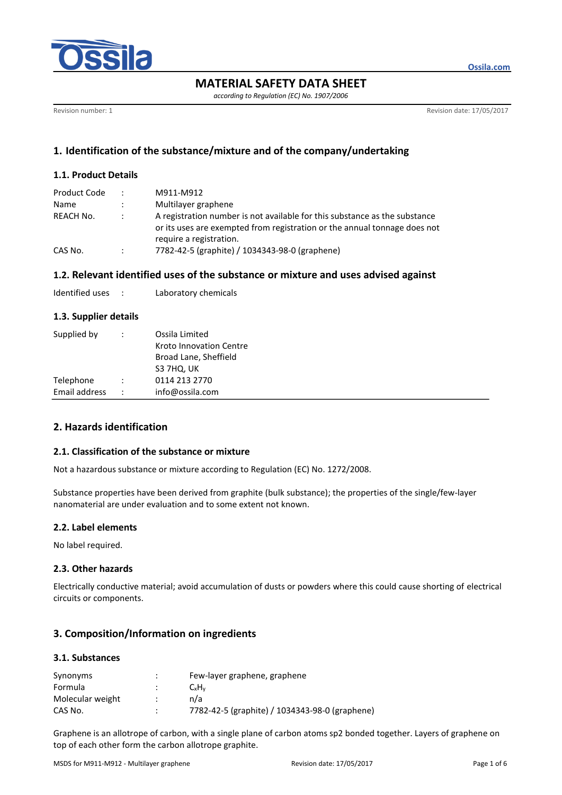

**Ossila.com**

# **MATERIAL SAFETY DATA SHEET**

*according to Regulation (EC) No. 1907/2006*

Revision number: 1 **Revision date: 17/05/2017** 

# **1. Identification of the substance/mixture and of the company/undertaking**

### **1.1. Product Details**

| Product Code | $\ddot{\phantom{0}}$ | M911-M912                                                                                                                                                                          |
|--------------|----------------------|------------------------------------------------------------------------------------------------------------------------------------------------------------------------------------|
| Name         | $\ddot{\phantom{a}}$ | Multilayer graphene                                                                                                                                                                |
| REACH No.    |                      | A registration number is not available for this substance as the substance<br>or its uses are exempted from registration or the annual tonnage does not<br>require a registration. |
| CAS No.      | $\ddot{\phantom{a}}$ | 7782-42-5 (graphite) / 1034343-98-0 (graphene)                                                                                                                                     |

# **1.2. Relevant identified uses of the substance or mixture and uses advised against**

| Identified uses |  | Laboratory chemicals |
|-----------------|--|----------------------|
|-----------------|--|----------------------|

# **1.3. Supplier details**

| Supplied by   |   | Ossila Limited          |  |  |
|---------------|---|-------------------------|--|--|
|               |   | Kroto Innovation Centre |  |  |
|               |   | Broad Lane, Sheffield   |  |  |
|               |   | S3 7HQ, UK              |  |  |
| Telephone     |   | 0114 213 2770           |  |  |
| Email address | ÷ | info@ossila.com         |  |  |

# **2. Hazards identification**

### **2.1. Classification of the substance or mixture**

Not a hazardous substance or mixture according to Regulation (EC) No. 1272/2008.

Substance properties have been derived from graphite (bulk substance); the properties of the single/few-layer nanomaterial are under evaluation and to some extent not known.

#### **2.2. Label elements**

No label required.

#### **2.3. Other hazards**

Electrically conductive material; avoid accumulation of dusts or powders where this could cause shorting of electrical circuits or components.

# **3. Composition/Information on ingredients**

### **3.1. Substances**

| Synonyms         | ٠<br>٠ | Few-layer graphene, graphene                   |
|------------------|--------|------------------------------------------------|
| Formula          |        | CxH <sub>v</sub>                               |
| Molecular weight |        | n/a                                            |
| CAS No.          |        | 7782-42-5 (graphite) / 1034343-98-0 (graphene) |

Graphene is an allotrope of carbon, with a single plane of carbon atoms sp2 bonded together. Layers of graphene on top of each other form the carbon allotrope graphite.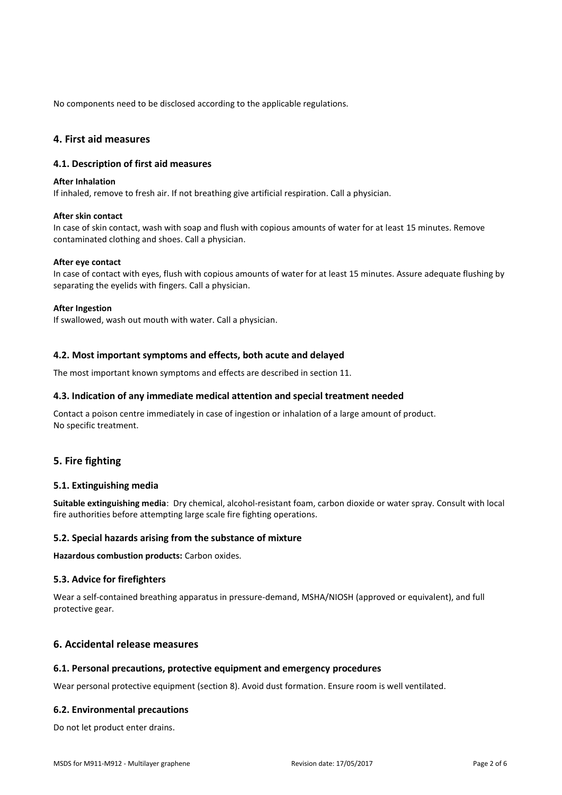No components need to be disclosed according to the applicable regulations.

# **4. First aid measures**

#### **4.1. Description of first aid measures**

#### **After Inhalation**

If inhaled, remove to fresh air. If not breathing give artificial respiration. Call a physician.

#### **After skin contact**

In case of skin contact, wash with soap and flush with copious amounts of water for at least 15 minutes. Remove contaminated clothing and shoes. Call a physician.

#### **After eye contact**

In case of contact with eyes, flush with copious amounts of water for at least 15 minutes. Assure adequate flushing by separating the eyelids with fingers. Call a physician.

#### **After Ingestion**

If swallowed, wash out mouth with water. Call a physician.

#### **4.2. Most important symptoms and effects, both acute and delayed**

The most important known symptoms and effects are described in section 11.

### **4.3. Indication of any immediate medical attention and special treatment needed**

Contact a poison centre immediately in case of ingestion or inhalation of a large amount of product. No specific treatment.

# **5. Fire fighting**

#### **5.1. Extinguishing media**

**Suitable extinguishing media**: Dry chemical, alcohol-resistant foam, carbon dioxide or water spray. Consult with local fire authorities before attempting large scale fire fighting operations.

#### **5.2. Special hazards arising from the substance of mixture**

**Hazardous combustion products:** Carbon oxides.

#### **5.3. Advice for firefighters**

Wear a self-contained breathing apparatus in pressure-demand, MSHA/NIOSH (approved or equivalent), and full protective gear.

# **6. Accidental release measures**

#### **6.1. Personal precautions, protective equipment and emergency procedures**

Wear personal protective equipment (section 8). Avoid dust formation. Ensure room is well ventilated.

#### **6.2. Environmental precautions**

Do not let product enter drains.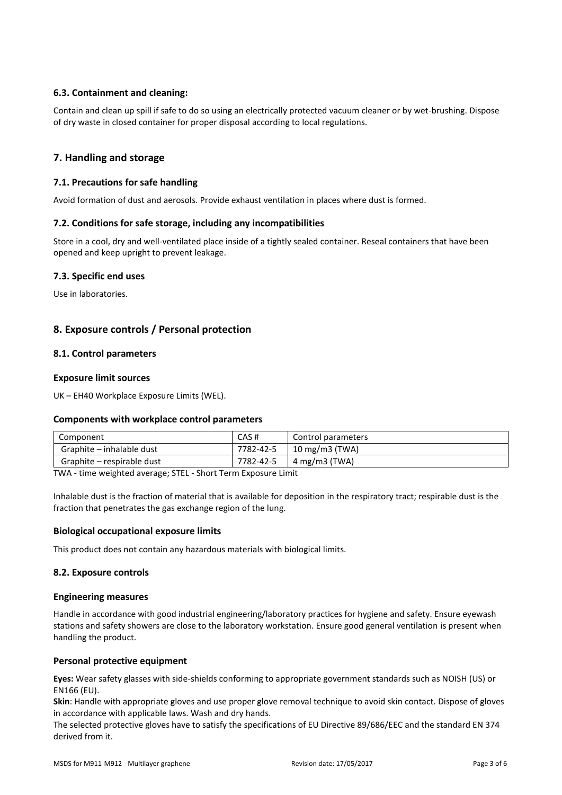# **6.3. Containment and cleaning:**

Contain and clean up spill if safe to do so using an electrically protected vacuum cleaner or by wet-brushing. Dispose of dry waste in closed container for proper disposal according to local regulations.

# **7. Handling and storage**

### **7.1. Precautions for safe handling**

Avoid formation of dust and aerosols. Provide exhaust ventilation in places where dust is formed.

#### **7.2. Conditions for safe storage, including any incompatibilities**

Store in a cool, dry and well-ventilated place inside of a tightly sealed container. Reseal containers that have been opened and keep upright to prevent leakage.

#### **7.3. Specific end uses**

Use in laboratories.

# **8. Exposure controls / Personal protection**

### **8.1. Control parameters**

### **Exposure limit sources**

UK – EH40 Workplace Exposure Limits (WEL).

#### **Components with workplace control parameters**

| Component                  | CAS#      | Control parameters        |  |
|----------------------------|-----------|---------------------------|--|
| Graphite – inhalable dust  | 7782-42-5 | $10 \text{ mg/m}$ 3 (TWA) |  |
| Graphite – respirable dust | 7782-42-5 | 4 mg/m3 (TWA)             |  |

TWA - time weighted average; STEL - Short Term Exposure Limit

Inhalable dust is the fraction of material that is available for deposition in the respiratory tract; respirable dust is the fraction that penetrates the gas exchange region of the lung.

#### **Biological occupational exposure limits**

This product does not contain any hazardous materials with biological limits.

#### **8.2. Exposure controls**

#### **Engineering measures**

Handle in accordance with good industrial engineering/laboratory practices for hygiene and safety. Ensure eyewash stations and safety showers are close to the laboratory workstation. Ensure good general ventilation is present when handling the product.

### **Personal protective equipment**

**Eyes:** Wear safety glasses with side-shields conforming to appropriate government standards such as NOISH (US) or EN166 (EU).

**Skin**: Handle with appropriate gloves and use proper glove removal technique to avoid skin contact. Dispose of gloves in accordance with applicable laws. Wash and dry hands.

The selected protective gloves have to satisfy the specifications of EU Directive 89/686/EEC and the standard EN 374 derived from it.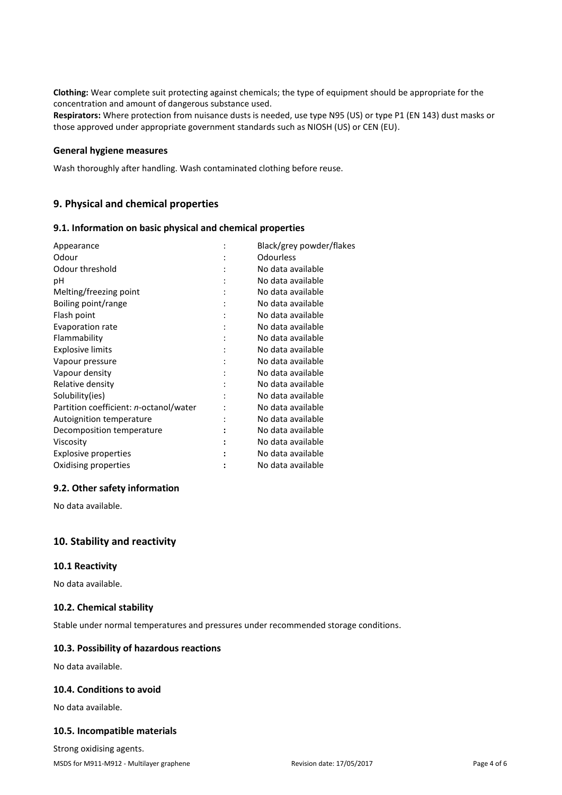**Clothing:** Wear complete suit protecting against chemicals; the type of equipment should be appropriate for the concentration and amount of dangerous substance used.

**Respirators:** Where protection from nuisance dusts is needed, use type N95 (US) or type P1 (EN 143) dust masks or those approved under appropriate government standards such as NIOSH (US) or CEN (EU).

#### **General hygiene measures**

Wash thoroughly after handling. Wash contaminated clothing before reuse.

# **9. Physical and chemical properties**

#### **9.1. Information on basic physical and chemical properties**

| Appearance                             | Black/grey powder/flakes |
|----------------------------------------|--------------------------|
| Odour                                  | Odourless                |
| Odour threshold                        | No data available        |
| рH                                     | No data available        |
| Melting/freezing point                 | No data available        |
| Boiling point/range                    | No data available        |
| Flash point                            | No data available        |
| <b>Evaporation rate</b>                | No data available        |
| Flammability                           | No data available        |
| <b>Explosive limits</b>                | No data available        |
| Vapour pressure                        | No data available        |
| Vapour density                         | No data available        |
| Relative density                       | No data available        |
| Solubility(ies)                        | No data available        |
| Partition coefficient: n-octanol/water | No data available        |
| Autoignition temperature               | No data available        |
| Decomposition temperature              | No data available        |
| Viscosity                              | No data available        |
| <b>Explosive properties</b>            | No data available        |
| Oxidising properties                   | No data available        |
|                                        |                          |

# **9.2. Other safety information**

No data available.

# **10. Stability and reactivity**

### **10.1 Reactivity**

No data available.

### **10.2. Chemical stability**

Stable under normal temperatures and pressures under recommended storage conditions.

#### **10.3. Possibility of hazardous reactions**

No data available.

### **10.4. Conditions to avoid**

No data available.

### **10.5. Incompatible materials**

Strong oxidising agents.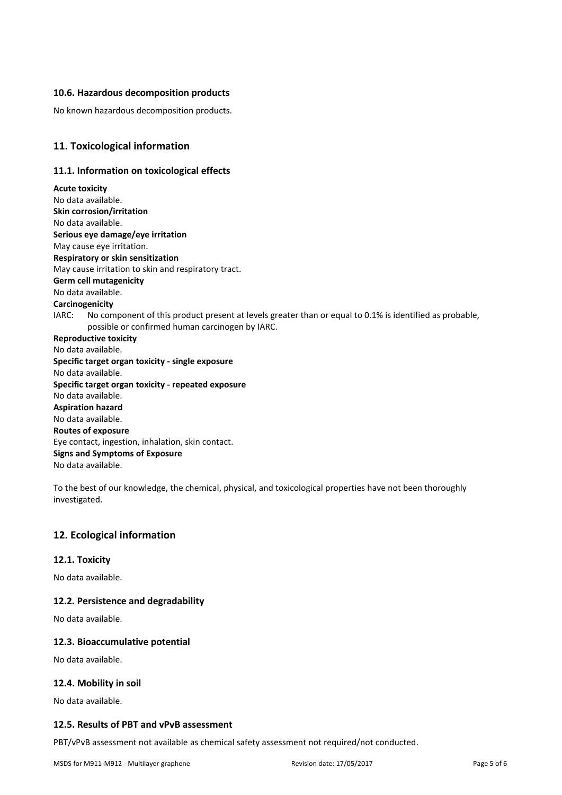### **10.6. Hazardous decomposition products**

No known hazardous decomposition products.

# **11. Toxicological information**

### **11.1. Information on toxicological effects**

**Acute toxicity** No data available. **Skin corrosion/irritation** No data available. **Serious eye damage/eye irritation** May cause eye irritation. **Respiratory or skin sensitization** May cause irritation to skin and respiratory tract. **Germ cell mutagenicity** No data available. **Carcinogenicity** IARC: No component of this product present at levels greater than or equal to 0.1% is identified as probable, possible or confirmed human carcinogen by IARC. **Reproductive toxicity** No data available. **Specific target organ toxicity - single exposure** No data available. **Specific target organ toxicity - repeated exposure** No data available. **Aspiration hazard** No data available. **Routes of exposure** Eye contact, ingestion, inhalation, skin contact. **Signs and Symptoms of Exposure** No data available.

To the best of our knowledge, the chemical, physical, and toxicological properties have not been thoroughly investigated.

# **12. Ecological information**

#### **12.1. Toxicity**

No data available.

#### **12.2. Persistence and degradability**

No data available.

#### **12.3. Bioaccumulative potential**

No data available.

#### **12.4. Mobility in soil**

No data available.

#### **12.5. Results of PBT and vPvB assessment**

PBT/vPvB assessment not available as chemical safety assessment not required/not conducted.